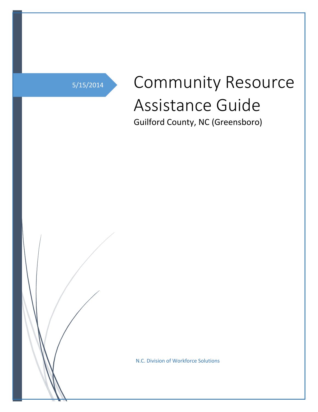5/15/2014

# Community Resource Assistance Guide

Guilford County, NC (Greensboro)

N.C. Division of Workforce Solutions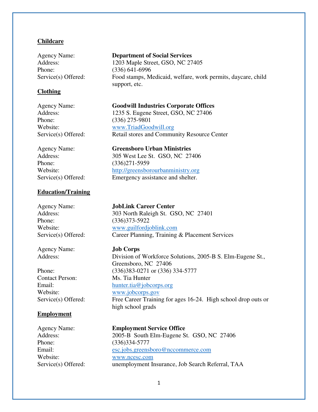## **Childcare**

Phone: (336) 641-6996

# **Clothing**

Phone: (336) 275-9801

Phone: (336)271-5959

# **Education/Training**

Phone: (336)373-5922

Agency Name: **Job Corps**

Contact Person: Ms. Tia Hunter Website: www.jobcorps.gov

### **Employment**

Phone: (336)334-5777 Website: [www.ncesc.com](http://www.ncesc.com/) 

### Agency Name: **Department of Social Services**

Address: 1203 Maple Street, GSO, NC 27405 Service(s) Offered: Food stamps, Medicaid, welfare, work permits, daycare, child support, etc.

Agency Name: **Goodwill Industries Corporate Offices** Address: 1235 S. Eugene Street, GSO, NC 27406 Website: www.TriadGoodwill.org Service(s) Offered: Retail stores and Community Resource Center

Agency Name: **Greensboro Urban Ministries** Address: 305 West Lee St. GSO, NC 27406 Website: http://greensborourbanministry.org Service(s) Offered: Emergency assistance and shelter.

# Agency Name: **JobLink Career Center**

Address: 303 North Raleigh St. GSO, NC 27401 Website: [www.guilfordjoblink.com](http://www.guilfordjoblink.com/)  Service(s) Offered: Career Planning, Training & Placement Services

Address: Division of Workforce Solutions, 2005-B S. Elm-Eugene St., Greensboro, NC 27406 Phone: (336)383-0271 or (336) 334-5777 Email: hunter.tia@jobcorps.org Service(s) Offered: Free Career Training for ages 16-24. High school drop outs or high school grads

#### Agency Name: **Employment Service Office**

Address: 2005-B South Elm-Eugene St. GSO, NC 27406 Email: [esc.jobs.greensboro@nccommerce.com](mailto:esc.jobs.greensboro@nccommerce.com) Service(s) Offered: unemployment Insurance, Job Search Referral, TAA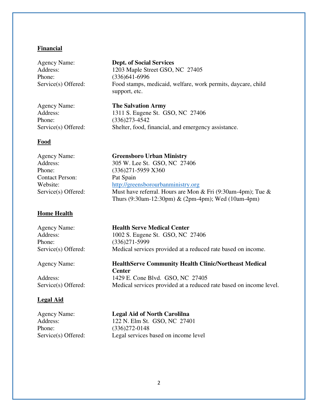# **Financial**

Phone: (336)641-6996

Agency Name: **Dept. of Social Services** Address: 1203 Maple Street GSO, NC 27405 Service(s) Offered: Food stamps, medicaid, welfare, work permits, daycare, child support, etc.

Phone: (336)273-4542

Agency Name: **The Salvation Army** Address: 1311 S. Eugene St. GSO, NC 27406 Service(s) Offered: Shelter, food, financial, and emergency assistance.

# **Food**

| Agency Name:           | <b>Greensboro Urban Ministry</b>                               |
|------------------------|----------------------------------------------------------------|
| Address:               | 305 W. Lee St. GSO, NC 27406                                   |
| Phone:                 | $(336)271 - 5959$ X360                                         |
| <b>Contact Person:</b> | Pat Spain                                                      |
| Website:               | http://greensborourbanministry.org                             |
| Service(s) Offered:    | Must have referral. Hours are Mon & Fri $(9:30$ am-4pm); Tue & |
|                        | Thurs $(9:30am-12:30pm)$ & $(2pm-4pm)$ ; Wed $(10am-4pm)$      |

# **Home Health**

| <b>Agency Name:</b> |  |
|---------------------|--|
| Address:            |  |
| Phone:              |  |
| Service(s) Offered  |  |

**Health Serve Medical Center** 1002 S. Eugene St. GSO, NC 27406  $(336)271 - 5999$  $\mathbb{R}$ : Medical services provided at a reduced rate based on income.

Agency Name: **HealthServe Community Health Clinic/Northeast Medical** 

Address: 1429 E. Cone Blvd. GSO, NC 27405 Service(s) Offered: Medical services provided at a reduced rate based on income level.

# **Legal Aid**

| Agency Name:       |  |
|--------------------|--|
| Address:           |  |
| Phone:             |  |
| Service(s) Offered |  |

**Legal Aid of North Carolilna** 122 N. Elm St. GSO, NC 27401  $(336)272 - 0148$ d: Legal services based on income level

**Center**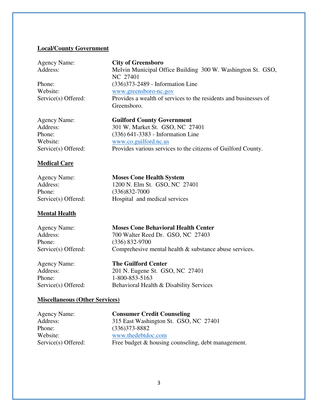# **Local/County Government**

| Agency Nam |  |
|------------|--|
| Address:   |  |

**Agency City of Greensboro** Melvin Municipal Office Building 300 W. Washington St. GSO, NC 27401 Phone: (336)373-2489 - Information Line Website: [www.greensboro-nc.gov](http://www.greensboro-nc.gov/)  Service(s) Offered: Provides a wealth of services to the residents and businesses of Greensboro.

Agency Name: **Guilford County Government** Address: 301 W. Market St. GSO, NC 27401 Phone: (336) 641-3383 - Information Line Website: www.co.guilford.nc.us Service(s) Offered: Provides various services to the citizens of Guilford County.

# **Medical Care**

| <b>Agency Name:</b> | <b>Moses Cone Health System</b> |
|---------------------|---------------------------------|
| Address:            | 1200 N. Elm St. GSO, NC 27      |
| Phone:              | $(336)832 - 7000$               |
| Service(s) Offered: | Hospital and medical services   |
|                     |                                 |

# **Mental Health**

Phone: (336) 832-9700

Agency Name: **Moses Cone Behavioral Health Center** Address: 700 Walter Reed Dr. GSO, NC 27403 Service(s) Offered: Comprehesive mental health & substance abuse services.

GSO, NC 27401

Phone: 1-800-853-5163

Agency Name: **The Guilford Center** Address: 201 N. Eugene St. GSO, NC 27401 Service(s) Offered: Behavioral Health & Disability Services

# **Miscellaneous (Other Services)**

Phone: (336)373-8882

Agency Name: **Consumer Credit Counseling** Address: 315 East Washington St. GSO, NC 27401 Website: [www.thedebtdoc.com](http://www.thedebtdoc.com/)  Service(s) Offered: Free budget & housing counseling, debt management.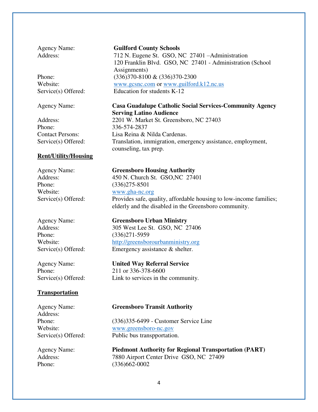Phone: 336-574-2837

### **Rent/Utility/Housing**

Phone: (336)275-8501 Website: [www.gha-nc.org](http://www.gha-nc.org/) 

Phone: (336)271-5959

# **Transportation**

Address:

#### Agency Name: **Guilford County Schools**

Address: 712 N. Eugene St. GSO, NC 27401 – Administration 120 Franklin Blvd. GSO, NC 27401 - Administration (School Assignments) Phone: (336)370-8100 & (336)370-2300 Website: [www.gcsnc.com](http://www.gcsnc.com/) or www.guilford.k12.nc.us Service(s) Offered: Education for students K-12

# Agency Name: **Casa Guadalupe Catholic Social Services-Community Agency Serving Latino Audience**

Address: 2201 W. Market St. Greensboro, NC 27403 Contact Persons: Lisa Reina & Nilda Cardenas. Service(s) Offered: Translation, immigration, emergency assistance, employment, counseling, tax prep.

Agency Name: **Greensboro Housing Authority** Address: 450 N. Church St. GSO, NC 27401 Service(s) Offered: Provides safe, quality, affordable housing to low-income families; elderly and the disabled in the Greensboro community.

Agency Name: **Greensboro Urban Ministry** Address: 305 West Lee St. GSO, NC 27406 Website: http://greensborourbanministry.org Service(s) Offered: Emergency assistance & shelter.

Agency Name: **United Way Referral Service** Phone: 211 or 336-378-6600

Service(s) Offered: Link to services in the community.

### Agency Name: **Greensboro Transit Authority**

Phone: (336)335-6499 - Customer Service Line Website: [www.greensboro-nc.gov](http://www.greensboro-nc.gov/)  Service(s) Offered: Public bus transpportation.

Agency Name: **Piedmont Authority for Regional Transportation (PART)** Address: 7880 Airport Center Drive GSO, NC 27409 Phone: (336)662-0002